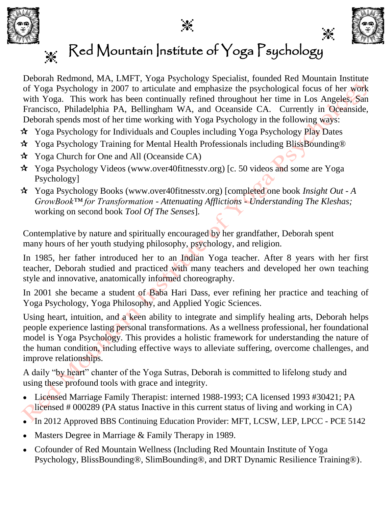



 $\cdot$ 

## Red Mountain Institute of Yoga Psychology  $\frac{1}{2}$

Deborah Redmond, MA, LMFT, Yoga Psychology Specialist, founded Red Mountain Institute of Yoga Psychology in 2007 to articulate and emphasize the psychological focus of her work with Yoga. This work has been continually refined throughout her time in Los Angeles, San Francisco, Philadelphia PA, Bellingham WA, and Oceanside CA. Currently in Oceanside, Deborah spends most of her time working with Yoga Psychology in the following ways:

- Yoga Psychology for Individuals and Couples including Yoga Psychology Play Dates
- Yoga Psychology Training for Mental Health Professionals including BlissBounding®
- Yoga Church for One and All (Oceanside CA)
- Yoga Psychology Videos (www.over40fitnesstv.org) [c. 50 videos and some are Yoga Psychology]
- Yoga Psychology Books (www.over40fitnesstv.org) [completed one book *Insight Out - A GrowBook™ for Transformation - Attenuating Afflictions - Understanding The Kleshas;*  working on second book *Tool Of The Senses*].

Contemplative by nature and spiritually encouraged by her grandfather, Deborah spent many hours of her youth studying philosophy, psychology, and religion.

In 1985, her father introduced her to an Indian Yoga teacher. After 8 years with her first teacher, Deborah studied and practiced with many teachers and developed her own teaching style and innovative, anatomically informed choreography.

In 2001 she became a student of Baba Hari Dass, ever refining her practice and teaching of Yoga Psychology, Yoga Philosophy, and Applied Yogic Sciences.

Using heart, intuition, and a keen ability to integrate and simplify healing arts, Deborah helps people experience lasting personal transformations. As a wellness professional, her foundational model is Yoga Psychology. This provides a holistic framework for understanding the nature of the human condition, including effective ways to alleviate suffering, overcome challenges, and improve relationships.

A daily "by heart" chanter of the Yoga Sutras, Deborah is committed to lifelong study and using these profound tools with grace and integrity.

- Licensed Marriage Family Therapist: interned 1988-1993; CA licensed 1993 #30421; PA licensed # 000289 (PA status Inactive in this current status of living and working in CA)
- In 2012 Approved BBS Continuing Education Provider: MFT, LCSW, LEP, LPCC PCE 5142
- Masters Degree in Marriage & Family Therapy in 1989.
- Cofounder of Red Mountain Wellness (Including Red Mountain Institute of Yoga Psychology, BlissBounding®, SlimBounding®, and DRT Dynamic Resilience Training®).